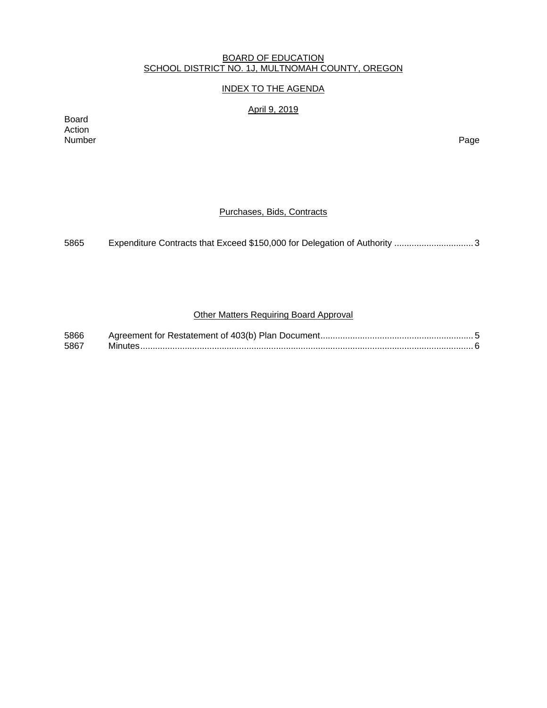#### BOARD OF EDUCATION SCHOOL DISTRICT NO. 1J, MULTNOMAH COUNTY, OREGON

## INDEX TO THE AGENDA

## April 9, 2019

Board Action Number Page

## Purchases, Bids, Contracts

| 5865 |  |
|------|--|
|      |  |

# Other Matters Requiring Board Approval

| 5866 |  |
|------|--|
| 5867 |  |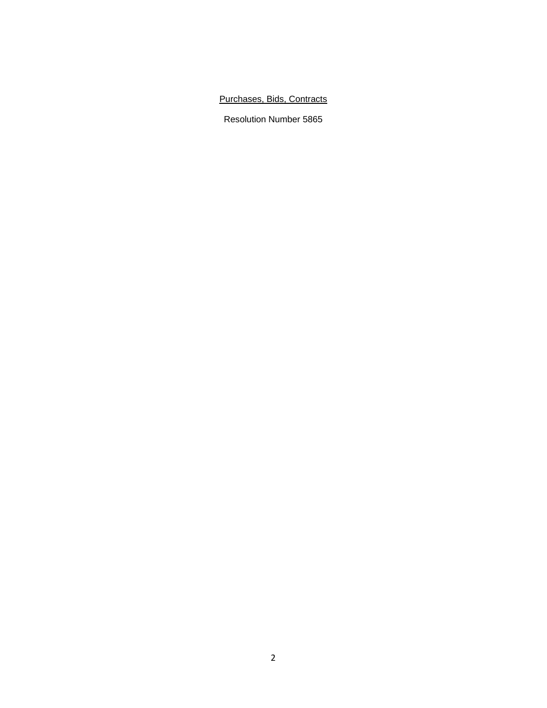# Purchases, Bids, Contracts

Resolution Number 5865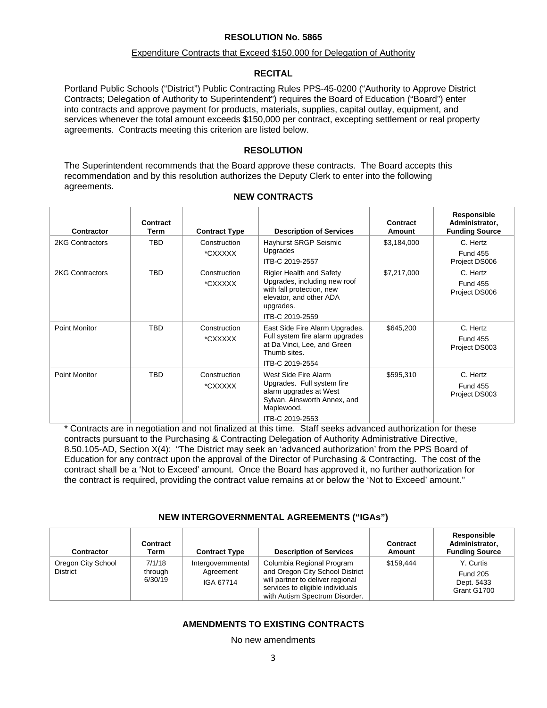#### **RESOLUTION No. 5865**

#### Expenditure Contracts that Exceed \$150,000 for Delegation of Authority

#### **RECITAL**

Portland Public Schools ("District") Public Contracting Rules PPS-45-0200 ("Authority to Approve District Contracts; Delegation of Authority to Superintendent") requires the Board of Education ("Board") enter into contracts and approve payment for products, materials, supplies, capital outlay, equipment, and services whenever the total amount exceeds \$150,000 per contract, excepting settlement or real property agreements. Contracts meeting this criterion are listed below.

## **RESOLUTION**

The Superintendent recommends that the Board approve these contracts. The Board accepts this recommendation and by this resolution authorizes the Deputy Clerk to enter into the following agreements.

| Contractor             | Contract<br>Term | <b>Contract Type</b>    | <b>Description of Services</b>                                                                                                                          | Contract<br>Amount | Responsible<br>Administrator,<br><b>Funding Source</b> |
|------------------------|------------------|-------------------------|---------------------------------------------------------------------------------------------------------------------------------------------------------|--------------------|--------------------------------------------------------|
| <b>2KG Contractors</b> | <b>TBD</b>       | Construction<br>*CXXXXX | Hayhurst SRGP Seismic<br>Upgrades<br>ITB-C 2019-2557                                                                                                    | \$3,184,000        | C. Hertz<br><b>Fund 455</b><br>Project DS006           |
| <b>2KG Contractors</b> | <b>TBD</b>       | Construction<br>*CXXXXX | <b>Rigler Health and Safety</b><br>Upgrades, including new roof<br>with fall protection, new<br>elevator, and other ADA<br>upgrades.<br>ITB-C 2019-2559 | \$7,217,000        | C. Hertz<br><b>Fund 455</b><br>Project DS006           |
| Point Monitor          | TBD              | Construction<br>*CXXXXX | East Side Fire Alarm Upgrades.<br>Full system fire alarm upgrades<br>at Da Vinci, Lee, and Green<br>Thumb sites.<br>ITB-C 2019-2554                     | \$645,200          | C. Hertz<br><b>Fund 455</b><br>Project DS003           |
| Point Monitor          | <b>TBD</b>       | Construction<br>*CXXXXX | West Side Fire Alarm<br>Upgrades. Full system fire<br>alarm upgrades at West<br>Sylvan, Ainsworth Annex, and<br>Maplewood.<br>ITB-C 2019-2553           | \$595,310          | C. Hertz<br><b>Fund 455</b><br>Project DS003           |

**NEW CONTRACTS** 

\* Contracts are in negotiation and not finalized at this time. Staff seeks advanced authorization for these contracts pursuant to the Purchasing & Contracting Delegation of Authority Administrative Directive, 8.50.105-AD, Section X(4): "The District may seek an 'advanced authorization' from the PPS Board of Education for any contract upon the approval of the Director of Purchasing & Contracting. The cost of the contract shall be a 'Not to Exceed' amount. Once the Board has approved it, no further authorization for the contract is required, providing the contract value remains at or below the 'Not to Exceed' amount."

## **NEW INTERGOVERNMENTAL AGREEMENTS ("IGAs")**

| Contractor                            | Contract<br>Term             | <b>Contract Type</b>                        | <b>Description of Services</b>                                                                                                                                         | Contract<br>Amount | <b>Responsible</b><br>Administrator,<br><b>Funding Source</b> |
|---------------------------------------|------------------------------|---------------------------------------------|------------------------------------------------------------------------------------------------------------------------------------------------------------------------|--------------------|---------------------------------------------------------------|
| Oregon City School<br><b>District</b> | 7/1/18<br>through<br>6/30/19 | Intergovernmental<br>Agreement<br>IGA 67714 | Columbia Regional Program<br>and Oregon City School District<br>will partner to deliver regional<br>services to eligible individuals<br>with Autism Spectrum Disorder. | \$159.444          | Y. Curtis<br><b>Fund 205</b><br>Dept. 5433<br>Grant G1700     |

# **AMENDMENTS TO EXISTING CONTRACTS**

No new amendments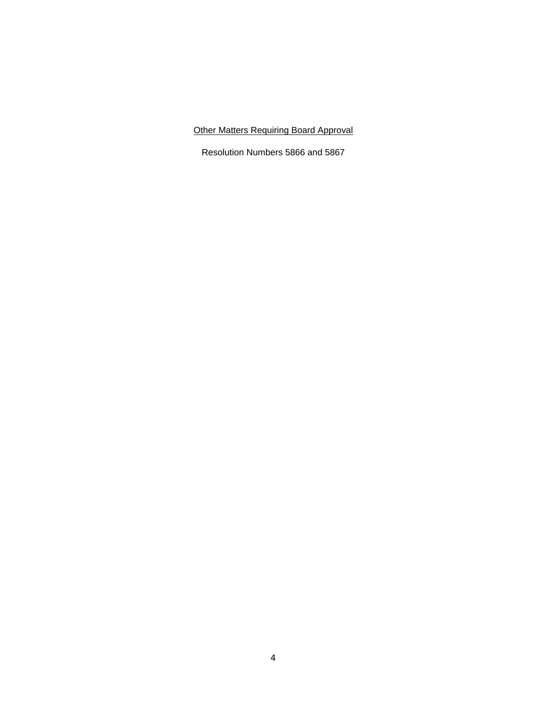# Other Matters Requiring Board Approval

Resolution Numbers 5866 and 5867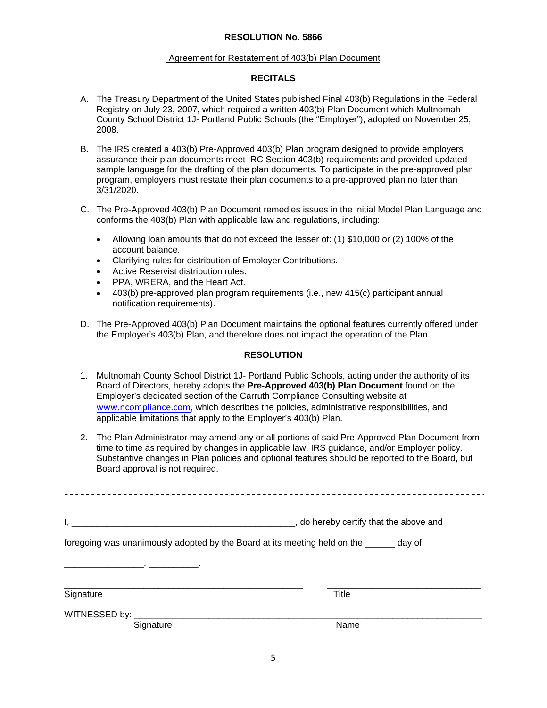#### **RESOLUTION No. 5866**

#### Agreement for Restatement of 403(b) Plan Document

## **RECITALS**

- A. The Treasury Department of the United States published Final 403(b) Regulations in the Federal Registry on July 23, 2007, which required a written 403(b) Plan Document which Multnomah County School District 1J- Portland Public Schools (the "Employer"), adopted on November 25, 2008.
- B. The IRS created a 403(b) Pre-Approved 403(b) Plan program designed to provide employers assurance their plan documents meet IRC Section 403(b) requirements and provided updated sample language for the drafting of the plan documents. To participate in the pre-approved plan program, employers must restate their plan documents to a pre-approved plan no later than 3/31/2020.
- C. The Pre-Approved 403(b) Plan Document remedies issues in the initial Model Plan Language and conforms the 403(b) Plan with applicable law and regulations, including:
	- Allowing loan amounts that do not exceed the lesser of: (1) \$10,000 or (2) 100% of the account balance.
	- Clarifying rules for distribution of Employer Contributions.
	- Active Reservist distribution rules.
	- PPA, WRERA, and the Heart Act.
	- 403(b) pre-approved plan program requirements (i.e., new 415(c) participant annual notification requirements).
- D. The Pre-Approved 403(b) Plan Document maintains the optional features currently offered under the Employer's 403(b) Plan, and therefore does not impact the operation of the Plan.

## **RESOLUTION**

- 1. Multnomah County School District 1J- Portland Public Schools, acting under the authority of its Board of Directors, hereby adopts the **Pre-Approved 403(b) Plan Document** found on the Employer's dedicated section of the Carruth Compliance Consulting website at www.ncompliance.com, which describes the policies, administrative responsibilities, and applicable limitations that apply to the Employer's 403(b) Plan.
- 2. The Plan Administrator may amend any or all portions of said Pre-Approved Plan Document from time to time as required by changes in applicable law, IRS guidance, and/or Employer policy. Substantive changes in Plan policies and optional features should be reported to the Board, but Board approval is not required.

|                                                                                         | _, do hereby certify that the above and |
|-----------------------------------------------------------------------------------------|-----------------------------------------|
|                                                                                         |                                         |
| foregoing was unanimously adopted by the Board at its meeting held on the ______ day of |                                         |
| Signature                                                                               | <b>Title</b>                            |
| WITNESSED by: ____________                                                              |                                         |
| Signature                                                                               | Name                                    |